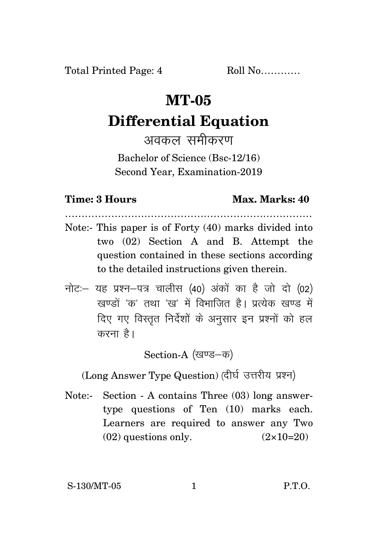Total Printed Page: 4 Roll No............

## **MT-05**

# **Differential Equation**

अवकल समीकरण

Bachelor of Science (Bsc-12/16) Second Year, Examination-2019

### **Time: 3 Hours Max. Marks: 40**

Note:- This paper is of Forty (40) marks divided into two (02) Section A and B. Attempt the question contained in these sections according to the detailed instructions given therein.

…………………………………………………………………

नोट: यह प्रश्न-पत्र चालीस (40) अंकों का है जो दो (02)  $\vec{y}$ रवण्डों 'क' तथा 'रव' में विभाजित है। पत्येक रवण्ड में दिए गए विस्तृत निर्देशों के अनुसार इन प्रश्नों को हल करना है।

Section-A (खण्ड-क)

(Long Answer Type Question) (दीर्घ उत्तरीय प्रश्न)

Note:- Section - A contains Three (03) long answertype questions of Ten (10) marks each. Learners are required to answer any Two  $(02)$  questions only.  $(2 \times 10=20)$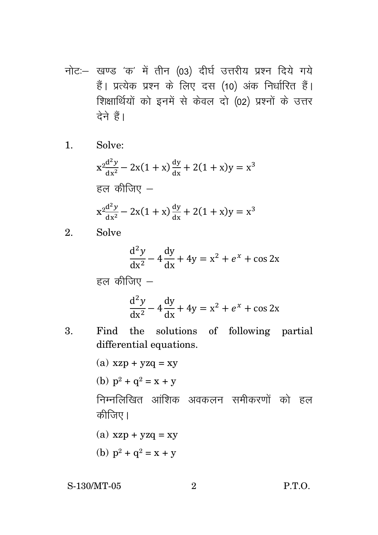नोट: खण्ड 'क' में तीन (03) दीर्घ उत्तरीय प्रश्न दिये गये हैं। प्रत्येक प्रश्न के लिए दस (10) अंक निर्धारित हैं। शिक्षार्थियों को इनमें से केवल दो (02) प्रश्नों के उत्तर देने हैं।

1. Solve:

$$
x^{2} \frac{d^{2}y}{dx^{2}} - 2x(1+x) \frac{dy}{dx} + 2(1+x)y = x^{3}
$$
  
\n
$$
\overline{6} \overline{d} \overline{b} \overline{b} \overline{d} \overline{f} \overline{d} \overline{f} \overline{f} \overline{f} \overline{f} \overline{f} \overline{f} \overline{f} \overline{f} \overline{f} \overline{f} \overline{f} \overline{f} \overline{f} \overline{f} \overline{f} \overline{f} \overline{f} \overline{f} \overline{f} \overline{f} \overline{f} \overline{f} \overline{f} \overline{f} \overline{f} \overline{f} \overline{f} \overline{f} \overline{f} \overline{f} \overline{f} \overline{f} \overline{f} \overline{f} \overline{f} \overline{f} \overline{f} \overline{f} \overline{f} \overline{f} \overline{f} \overline{f} \overline{f} \overline{f} \overline{f} \overline{f} \overline{f} \overline{f} \overline{f} \overline{f} \overline{f} \overline{f} \overline{f} \overline{f} \overline{f} \overline{f} \overline{f} \overline{f} \overline{f} \overline{f} \overline{f} \overline{f} \overline{f} \overline{f} \overline{f} \overline{f} \overline{f} \overline{f} \overline{f} \overline{f} \overline{f} \overline{f} \overline{f} \overline{f} \overline{f} \overline{f} \overline{f} \overline{f} \overline{f} \overline{f} \overline{f} \overline{f} \overline{f} \overline{f} \overline{f} \overline{f} \overline{f} \overline{f} \overline{f} \overline{f} \overline{f} \overline{f} \overline{f} \overline{f} \overline{f} \overline{f} \overline{f} \overline{f} \overline{f} \overline{f} \overline{f} \overline{f} \overline{f} \overline{f} \overline{f} \overline{f} \overline{f} \overline{f} \overline{f} \overline{f} \overline
$$

2. Solve

$$
\frac{d^2y}{dx^2} - 4\frac{dy}{dx} + 4y = x^2 + e^x + \cos 2x
$$

हल कीजिए  $-$ 

$$
\frac{d^2y}{dx^2} - 4\frac{dy}{dx} + 4y = x^2 + e^x + \cos 2x
$$

3. Find the solutions of following partial differential equations.

> (a)  $xzp + yzq = xy$ (b)  $p^2 + q^2 = x + y$ निम्नलिखित आंशिक अवकलन समीकरणों को हल कीजिए। (a)  $xzp + yzq = xy$

(b)  $p^2 + q^2 = x + y$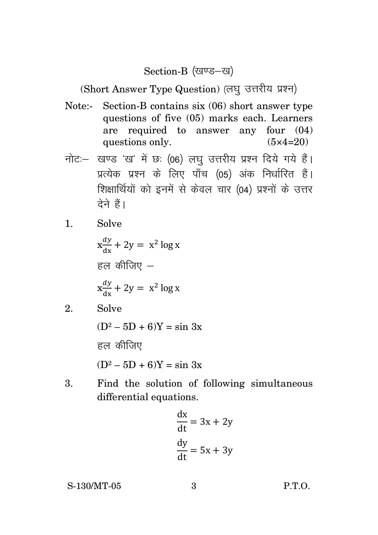### Section-B (खण्ड-ख)

(Short Answer Type Question) (लघु उत्तरीय प्रश्न)

- Note:- Section-B contains six (06) short answer type questions of five (05) marks each. Learners are required to answer any four (04) questions only.  $(5 \times 4=20)$
- नोट :- खण्ड 'ख' में छः (06) लघु उत्तरीय प्रश्न दिये गये हैं। प्रत्येक प्रश्न के लिए पाँच (05) अंक निर्धारित हैं। शिक्षार्थियों को इनमें से केवल चार (04) प्रश्नों के उत्तर तेने हैं।
- 1. Solve

 $x \frac{dy}{dx} + 2y = x^2 \log x$ हल कीजिए  $$  $x \frac{dy}{dx} + 2y = x^2 \log x$ 

- 2. Solve
	- $(D^2 5D + 6)Y = \sin 3x$

हल कीजिए

 $(D^2 – 5D + 6)Y = \sin 3x$ 

3. Find the solution of following simultaneous differential equations.

$$
\frac{dx}{dt} = 3x + 2y
$$

$$
\frac{dy}{dt} = 5x + 3y
$$

S-130/MT-05 3 P.T.O.